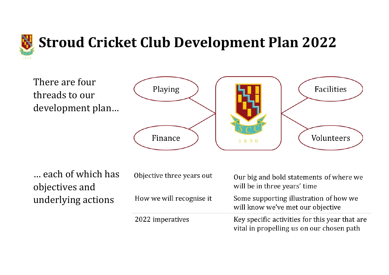

### **Stroud Cricket Club Development Plan 2022**

There are four threads to our development plan...



... each of which has objectives and underlying actions

Objective three years out How we will recognise it

2022 imperatives

Our big and bold statements of where we will be in three years' time

Some supporting illustration of how we will know we've met our objective

Key specific activities for this year that are vital in propelling us on our chosen path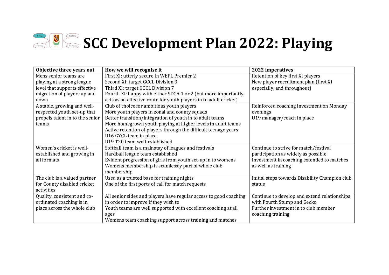# SCC Development Plan 2022: Playing

| Objective three years out       | How we will recognise it                                          | 2022 imperatives                               |
|---------------------------------|-------------------------------------------------------------------|------------------------------------------------|
| Mens senior teams are           | First XI: utterly secure in WEPL Premier 2                        | Retention of key first XI players              |
| playing at a strong league      | Second XI: target GCCL Division 3                                 | New player recruitment plan (first XI          |
| level that supports effective   | Third XI: target GCCL Division 7                                  | especially, and throughout)                    |
| migration of players up and     | Fourth XI: happy with either SDCA 1 or 2 (but more importantly,   |                                                |
| down                            | acts as an effective route for youth players in to adult cricket) |                                                |
| A stable, growing and well-     | Club of choice for ambitious youth players                        | Reinforced coaching investment on Monday       |
| respected youth set-up that     | More youth players in zonal and county squads                     | evenings                                       |
| propels talent in to the senior | Better transition/integration of youth in to adult teams          | U19 manager/coach in place                     |
| teams                           | More homegrown youth playing at higher levels in adult teams      |                                                |
|                                 | Active retention of players through the difficult teenage years   |                                                |
|                                 | U16 GYCL team in place                                            |                                                |
|                                 | U19 T20 team well-established                                     |                                                |
| Women's cricket is well-        | Softball team is a mainstay of leagues and festivals              | Continue to strive for match/festival          |
| established and growing in      | Hardball league team established                                  | participation as widely as possible            |
| all formats                     | Evident progression of girls from youth set-up in to womens       | Investment in coaching extended to matches     |
|                                 | Womens membership is seamlessly part of whole club                | as well as training                            |
|                                 | membership                                                        |                                                |
| The club is a valued partner    | Used as a trusted base for training nights                        | Initial steps towards Disability Champion club |
| for County disabled cricket     | One of the first ports of call for match requests                 | status                                         |
| activities                      |                                                                   |                                                |
| Quality, consistent and co-     | All senior sides and players have regular access to good coaching | Continue to develop and extend relationships   |
| ordinated coaching is in        | in order to improve if they wish to                               | with Fourth Stump and Gecko                    |
| place across the whole club     | Youth teams are well supported with excellent coaching at all     | Further investment in to club member           |
|                                 | ages                                                              | coaching training                              |
|                                 | Womens team coaching support across training and matches          |                                                |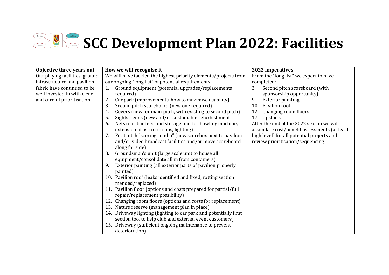## SCC Development Plan 2022: Facilities

| Objective three years out      | How we will recognise it                                                                           | 2022 imperatives                              |
|--------------------------------|----------------------------------------------------------------------------------------------------|-----------------------------------------------|
| Our playing facilities, ground | We will have tackled the highest priority elements/projects from                                   | From the "long list" we expect to have        |
| infrastructure and pavilion    | our ongoing "long list" of potential requirements:                                                 | completed:                                    |
| fabric have continued to be    | Ground equipment (potential upgrades/replacements<br>1.                                            | Second pitch scoreboard (with<br>3.           |
| well invested in with clear    | required)                                                                                          | sponsorship opportunity)                      |
| and careful prioritisation     | Car park (improvements, how to maximise usability)<br>2.                                           | 9.<br><b>Exterior painting</b>                |
|                                | 3.<br>Second pitch scoreboard (new one required)                                                   | 10. Pavilion roof                             |
|                                | Covers (new for main pitch, with existing to second pitch)<br>4.                                   | 12. Changing room floors                      |
|                                | Sightscreens (new and/or sustainable refurbishment)<br>5.                                          | 17. Upstairs                                  |
|                                | Nets (electric feed and storage unit for bowling machine,<br>6.                                    | After the end of the 2022 season we will      |
|                                | extension of astro run-ups, lighting)                                                              | assimilate cost/benefit assessments (at least |
|                                | First pitch "scoring combo" (new scorebox next to pavilion<br>7.                                   | high level) for all potential projects and    |
|                                | and/or video broadcast facilities and/or move scoreboard                                           | review prioritisation/sequencing              |
|                                | along far side)                                                                                    |                                               |
|                                | Groundsman's unit (large scale unit to house all<br>8.                                             |                                               |
|                                | equipment/consolidate all in from containers)                                                      |                                               |
|                                | Exterior painting (all exterior parts of pavilion properly<br>9.                                   |                                               |
|                                | painted)                                                                                           |                                               |
|                                | 10. Pavilion roof (leaks identified and fixed, rotting section                                     |                                               |
|                                | mended/replaced)                                                                                   |                                               |
|                                | 11. Pavilion floor (options and costs prepared for partial/full<br>repair/replacement possibility) |                                               |
|                                | 12. Changing room floors (options and costs for replacement)                                       |                                               |
|                                | 13. Nature reserve (management plan in place)                                                      |                                               |
|                                | 14. Driveway lighting (lighting to car park and potentially first                                  |                                               |
|                                | section too, to help club and external event customers)                                            |                                               |
|                                | 15. Driveway (sufficient ongoing maintenance to prevent                                            |                                               |
|                                | deterioration)                                                                                     |                                               |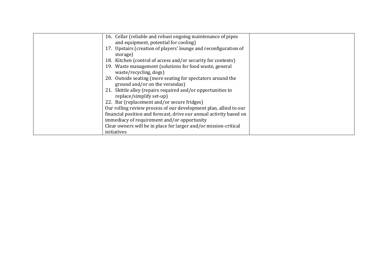| 16. Cellar (reliable and robust ongoing maintenance of pipes        |  |
|---------------------------------------------------------------------|--|
|                                                                     |  |
| and equipment, potential for cooling)                               |  |
| 17. Upstairs (creation of players' lounge and reconfiguration of    |  |
| storage)                                                            |  |
| 18. Kitchen (control of access and/or security for contents)        |  |
| 19. Waste management (solutions for food waste, general             |  |
| waste/recycling, dogs)                                              |  |
| 20. Outside seating (more seating for spectators around the         |  |
| ground and/or on the verandas)                                      |  |
| 21. Skittle alley (repairs required and/or opportunities to         |  |
| replace/simplify set-up)                                            |  |
| 22. Bar (replacement and/or secure fridges)                         |  |
| Our rolling review process of our development plan, allied to our   |  |
| financial position and forecast, drive our annual activity based on |  |
| immediacy of requirement and/or opportunity                         |  |
| Clear owners will be in place for larger and/or mission-critical    |  |
| initiatives                                                         |  |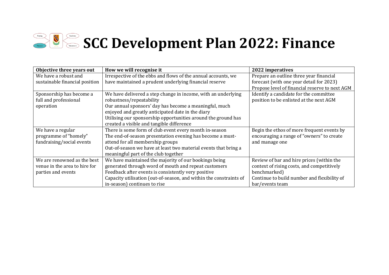# SCC Development Plan 2022: Finance

| Objective three years out      | How we will recognise it                                           | 2022 imperatives                               |
|--------------------------------|--------------------------------------------------------------------|------------------------------------------------|
| We have a robust and           | Irrespective of the ebbs and flows of the annual accounts, we      | Prepare an outline three year financial        |
| sustainable financial position | have maintained a prudent underlying financial reserve             | forecast (with one year detail for 2023)       |
|                                |                                                                    | Propose level of financial reserve to next AGM |
| Sponsorship has become a       | We have delivered a step change in income, with an underlying      | Identify a candidate for the committee         |
| full and professional          | robustness/repeatability                                           | position to be enlisted at the next AGM        |
| operation                      | Our annual sponsors' day has become a meaningful, much             |                                                |
|                                | enjoyed and greatly anticipated date in the diary                  |                                                |
|                                | Utilising our sponsorship opportunities around the ground has      |                                                |
|                                | created a visible and tangible difference                          |                                                |
| We have a regular              | There is some form of club event every month in-season             | Begin the ethos of more frequent events by     |
| programme of "homely"          | The end-of-season presentation evening has become a must-          | encouraging a range of "owners" to create      |
| fundraising/social events      | attend for all membership groups                                   | and manage one                                 |
|                                | Out-of-season we have at least two material events that bring a    |                                                |
|                                | meaningful part of the club together                               |                                                |
| We are renowned as the best    | We have maintained the majority of our bookings being              | Review of bar and hire prices (within the      |
| venue in the area to hire for  | generated through word of mouth and repeat customers               | context of rising costs, and competitively     |
| parties and events             | Feedback after events is consistently very positive                | benchmarked)                                   |
|                                | Capacity utilisation (out-of-season, and within the constraints of | Continue to build number and flexibility of    |
|                                | in-season) continues to rise                                       | bar/events team                                |